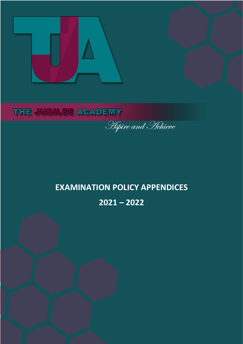

## THE JUBILEE ACADEMY

**Aspire and Hehieve** 

## **EXAMINATION POLICY APPENDICES 2021 – 2022**